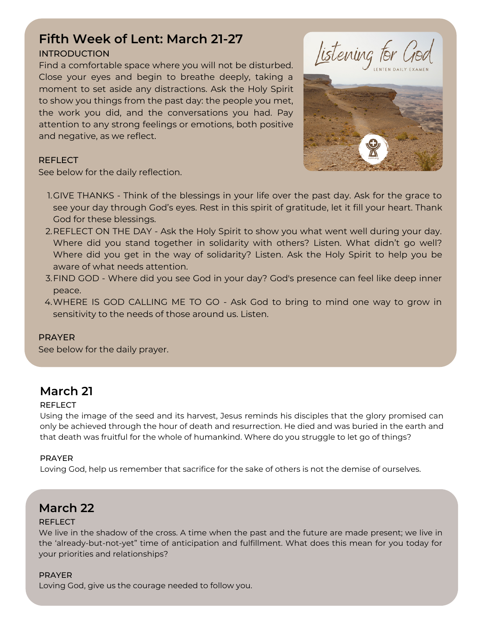# **Fifth Week of Lent: March 21-27**

### INTRODUCTION

Find a comfortable space where you will not be disturbed. Close your eyes and begin to breathe deeply, taking a moment to set aside any distractions. Ask the Holy Spirit to show you things from the past day: the people you met, the work you did, and the conversations you had. Pay attention to any strong feelings or emotions, both positive and negative, as we reflect.





### **REFLECT**

See below for the daily reflection.

- 1.GIVE THANKS Think of the blessings in your life over the past day. Ask for the grace to see your day through God's eyes. Rest in this spirit of gratitude, let it fill your heart. Thank God for these blessings.
- 2.REFLECT ON THE DAY Ask the Holy Spirit to show you what went well during your day. Where did you stand together in solidarity with others? Listen. What didn't go well? Where did you get in the way of solidarity? Listen. Ask the Holy Spirit to help you be aware of what needs attention.
- FIND GOD Where did you see God in your day? God's presence can feel like deep inner 3. peace.
- WHERE IS GOD CALLING ME TO GO Ask God to bring to mind one way to grow in 4. sensitivity to the needs of those around us. Listen.

### PRAYER

See below for the daily prayer.

# **March 21**

### **REFLECT**

Using the image of the seed and its harvest, Jesus reminds his disciples that the glory promised can only be achieved through the hour of death and resurrection. He died and was buried in the earth and that death was fruitful for the whole of humankind. Where do you struggle to let go of things?

### PRAYER

Loving God, help us remember that sacrifice for the sake of others is not the demise of ourselves.

# **March 22**

### REFLECT

We live in the shadow of the cross. A time when the past and the future are made present; we live in the 'already-but-not-yet" time of anticipation and fulfillment. What does this mean for you today for your priorities and relationships?

### PRAYER

Loving God, give us the courage needed to follow you.